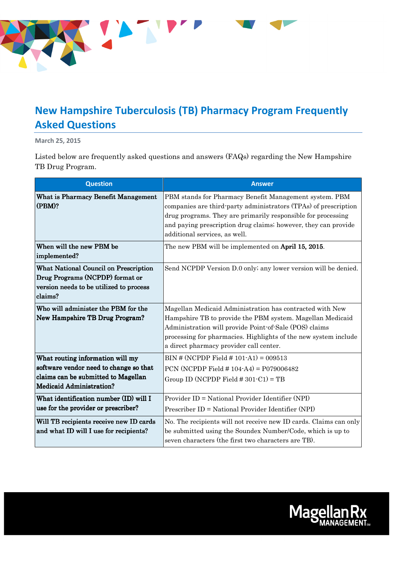

## **New Hampshire Tuberculosis (TB) Pharmacy Program Frequently Asked Questions**

**March 25, 2015** 

Listed below are frequently asked questions and answers (FAQs) regarding the New Hampshire TB Drug Program.

| <b>Question</b>                                                                                                                                      | <b>Answer</b>                                                                                                                                                                                                                                                                                 |
|------------------------------------------------------------------------------------------------------------------------------------------------------|-----------------------------------------------------------------------------------------------------------------------------------------------------------------------------------------------------------------------------------------------------------------------------------------------|
| <b>What is Pharmacy Benefit Management</b><br>$(PBM)$ ?                                                                                              | PBM stands for Pharmacy Benefit Management system. PBM<br>companies are third party administrators (TPAs) of prescription<br>drug programs. They are primarily responsible for processing<br>and paying prescription drug claims; however, they can provide<br>additional services, as well.  |
| When will the new PBM be<br>implemented?                                                                                                             | The new PBM will be implemented on <b>April 15, 2015</b> .                                                                                                                                                                                                                                    |
| <b>What National Council on Prescription</b><br>Drug Programs (NCPDP) format or<br>version needs to be utilized to process<br>claims?                | Send NCPDP Version D.0 only; any lower version will be denied.                                                                                                                                                                                                                                |
| Who will administer the PBM for the<br><b>New Hampshire TB Drug Program?</b>                                                                         | Magellan Medicaid Administration has contracted with New<br>Hampshire TB to provide the PBM system. Magellan Medicaid<br>Administration will provide Point of Sale (POS) claims<br>processing for pharmacies. Highlights of the new system include<br>a direct pharmacy provider call center. |
| What routing information will my<br>software vendor need to change so that<br>claims can be submitted to Magellan<br><b>Medicaid Administration?</b> | $BIN # (NCPDP Field # 101-A1) = 009513$<br>PCN (NCPDP Field $\# 104$ -A4) = P079006482<br>Group ID (NCPDP Field $\#$ 301-C1) = TB                                                                                                                                                             |
| What identification number (ID) will I<br>use for the provider or prescriber?                                                                        | Provider ID = National Provider Identifier (NPI)<br>Prescriber ID = National Provider Identifier (NPI)                                                                                                                                                                                        |
| Will TB recipients receive new ID cards<br>and what ID will I use for recipients?                                                                    | No. The recipients will not receive new ID cards. Claims can only<br>be submitted using the Soundex Number/Code, which is up to<br>seven characters (the first two characters are TB).                                                                                                        |